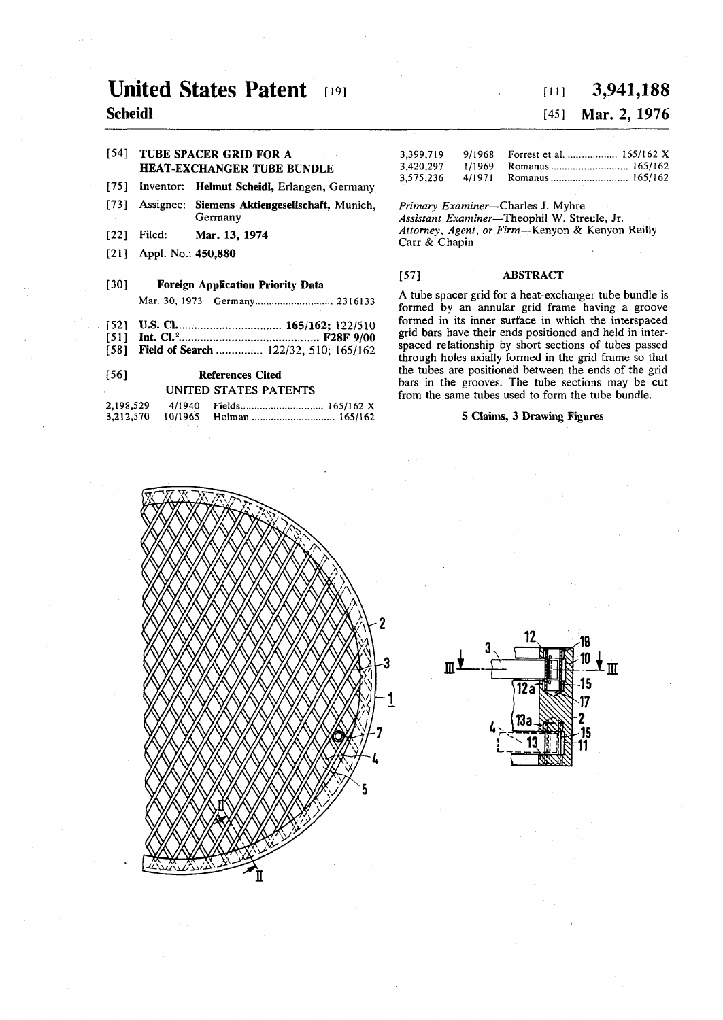# **United States Patent 191**

# **Scheidl**

### **[54] TUBE SPACER GRID FOR A HEAT-EXCHANGER TUBE BUNDLE**

- **[75] Inventor: Helmut Scheidl, Erlangen, Germany**
- **[73] Assignee: Siemens Aktiengesellschaft, Munich, Germany**
- **[22] Filed: Mar. 13, 1974**
- **[21] Appl. No.: 450,880**

# **[30] Foreign Application Priority Data Mar. 30, 1973 Germany 2316133**

- [52] **U.S. Cl.** *Ch. Cl. Cl. 165/162; 122/510*
- **[51] Int. CI.<sup>2</sup> F28F9/00**
- [58] Field of Search ............... 122/32, 510; 165/162

## **[56] References Cited UNITED STATES PATENTS**

| 2,198,529 | 4/1940  | 165/162 X |
|-----------|---------|-----------|
| 3,212,570 | 10/1965 | 165/162   |

# **[in 3,941,188**

# [45] **Mar. 2, 1976**

| 3.399.719 | 9/1968 Forrest et al.  165/162 X |  |
|-----------|----------------------------------|--|
| 3.420.297 |                                  |  |
| 3,575,236 |                                  |  |

*Primary Examiner***—Charles J. Myhre**  *Assistant Examiner***—Theophil W. Streule, Jr.**  *Attorney, Agent, or Firm***—Kenyon & Kenyon Reilly Carr & Chapin** 

#### **[57] ABSTRACT**

**A tube spacer grid for a heat-exchanger tube bundle is formed by an annular grid frame having a groove formed in its inner surface in which the interspaced grid bars have their ends positioned and held in interspaced relationship by short sections of tubes passed through holes axially formed in the grid frame so that the tubes are positioned between the ends of the grid bars in the grooves. The tube sections may be cut from the same tubes used to form the tube bundle.** 

#### **5 Claims, 3 Drawing Figures**



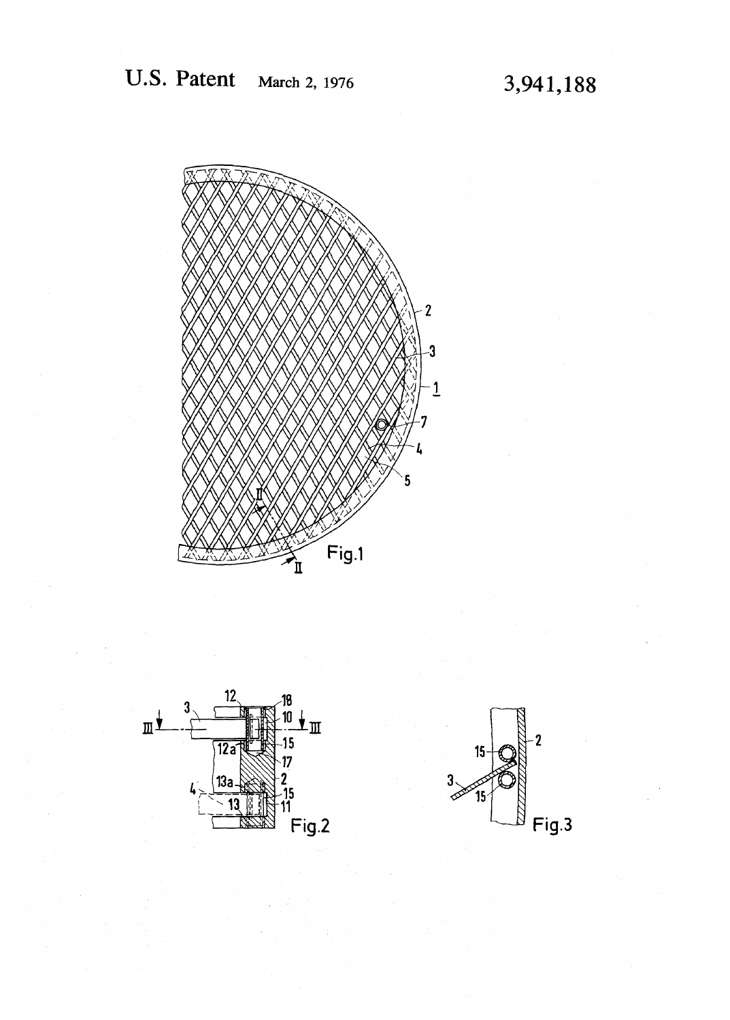



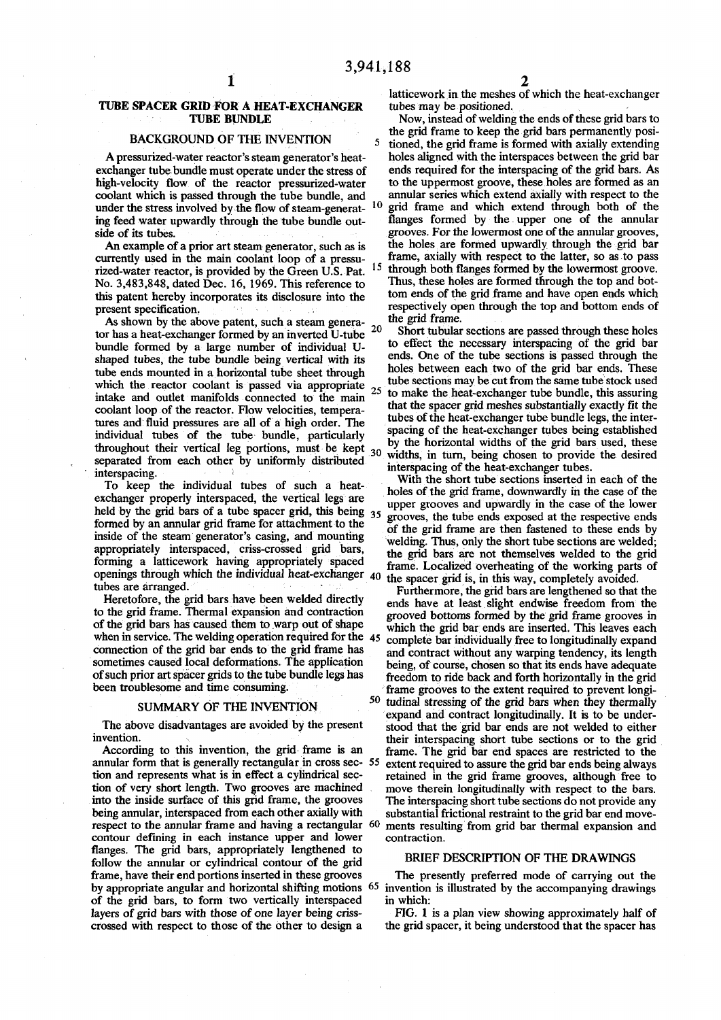# **TUBE SPACER GRID FOR A HEAT-EXCHANGER<br>TUBE BUNDLE**

#### **BACKGROUND OF THE INVENTION**

coolant which is passed through the tube bundle, and **under the stress involved by the flow of steam-generat- 1 0** ing feed water upwardly through the tube bundle out-

currently used in the main coolant loop of a pressu**rized-water reactor, is provided by the Green U.S. Pat. 1 5** No. 3,483,848, dated Dec. 16, 1969. This reference to **this patent hereby incorporates its disclosure into the**

As shown by the above patent, such a steam genera**tor has a heat-exchanger formed by an inverted U-tube bundle formed by a large number of individual U shaped tubes, the tube bundle being vertical with its tube ends mounted in a horizontal tube sheet through** intake and outlet manifolds connected to the main **coolant loop of the reactor. Flow velocities, tempera** tures and fluid pressures are all of a high order. The throughout their vertical leg portions, must be kept <sup>30</sup> separated from each other by uniformly distributed Interspacing of the heat-exchanger tubes.<br>
interspacing of the heat-exchanger tubes.<br>
With the short tube sections inserted in

**EXECUTE: THE INDIVIDUAL TEXT INDIVIDUAL TEXT INDICE: t ^ u l Pr0P / ? int f <sup>s</sup>Pf? <sup>i</sup>** formed by an annular grid frame for attachment to the inside of the steam generator's casing, and mounting appropriately interspaced, criss-crossed grid bars, forming a latticework having appropriately spaced forming a latticework having appropriately spaced frame. Localized overheating of the working parts of openings through which the individual heat-exchanger 40 the spacer grid is in this way completely avoided openings through which the individual heat-exchanger 40 the spacer grid is, in this way, completely avoided, tubes are arranged.

#### **SUMMARY OF THE INVENTION**

annular form that is generally rectangular in cross sec- 55 **respect to the annular frame and having a rectangular 60 ments result contour defining in each instance upper and lower** contraction. contour defining in each instance upper and lower flanges. The grid bars, appropriately lengthened to **follow the annular or cylindrical contour of the grid frame, have their end portions inserted in these grooves The presently preferred mode of carrying out the of the grid bars, to form two vertically interspaced in which:** 

**1 2 latticework in the meshes of which the heat-exchanger** 

Now, instead of welding the ends of these grid bars to  **th e gr i d fram e t o kee P th e gr i d bar <sup>s</sup> BACKGROUND OF THE INVENTION** 5 tioned, the grid frame is formed with axially extending  $\frac{1}{2}$ **A pressurized-water reactor's steam generator's heat- holes aligned with the interspaces between the grid bar exchanger tube bundle must operate under the stress of** ends required for the interspacing of the grid bars. As high-velocity flow of the reactor pressurized-water to the uppermost groove, these holes are formed as an **high-velocity flow of the reactor pressurized-water to the uppermost groove, these holes are formed as an grid frame and which extend through both of the**  side of its tubes.<br>An example of a prior art steam generator, such as is the holes are formed upwardly through the grid bar An example of a prior art steam generator, such as is the holes are formed upwardly through the grid bar urrently used in the main coolant loop of a pressu-<br>**Internet are as in the main coolant** loop of a pressu-<br>**Frame**,  **through both flanges formed by the lowermost groove. holes** are formed through the top and bot**tom ends of the grid frame and have open ends which present specification. present specification**. **respectively open through the top and bottom ends of frame,** 

 **2 0 shor t tubula r sections are passed through these holes to effect the necessary interspacing of the grid bar ends**. One of the tube sections is passed through the **<sup>h</sup> ° l e s between each two of the grid bar ends. These**  which the reactor coolant is passed via appropriate tube sections may be cut from the same tube stock used<br>which the reactor coolant is passed via appropriate and outlet manifolds connected to the main 25 to make the heat **to make the heat-exchanger tube bundle, this assuring that the spacer grid meshes substantially exactly fit the** tubes of the heat-exchanger tube bundle legs, the interspacing of the heat-exchanger tubes being established individual tubes of the tube bundle, particularly spacing of the neat-exchanger tubes being established throughout their vertical log portions, must be kent **interpretise of the heat explorate the desired** interpretise of the heat exploration types.

 $\frac{1}{2}$  **To** keep the individual tubes of such a heat  $\frac{1}{2}$  with the short tube sections inserted in each of the holes of the grid frame, downwardly in the case of the upper grooves and upwardly in the case of the lower **new by the gnd bars ot a tube spacer gnd, this being<sup>3</sup> <sup>5</sup> "oves, the tube ends exposed at the respective ends ^<sup>j</sup> d frame ar <sup>e</sup> ^ fastene d t <sup>0</sup> ^ end s b**  welding. Thus, only the short tube sections are welded; **f thenselves** welded to the grid bars are not themselves welded to the grid

turthermore, the grid bars are lengthened so that the Heretofore, the grid bars have been welded directly ands have at least slight endwise freedom from the **Heretofore, the grid bars have been welded directly** ends have at least slight endwise freedom from the to the grid frame. Thermal expansion and contraction to the grid frame. Thermal expansion and contraction grooved bottoms formed by the grid frame grooves in of the grid bars has caused them to warp out of shape which the grid bar ends are inserted. This leaves each of the grid bars has caused them to warp out of shape<br>which the grid bar ends are inserted. This leaves each<br>when in service. The welding operation required for the 45 complete bar individually free to longitudinally expan when in service. The welding operation required for the 45 complete bar individually free to longitudinally expand<br>connection of the grid bar ends to the grid frame has and contract without any warning tendency, its length connection of the grid bar ends to the grid frame has and contract without any warping tendency, its length sometimes caused local deformations. The application being of course chosen so that its ends have adequate sometimes caused local deformations. The application being, of course, chosen so that its ends have adequate of such prior art spacer grids to the tube bundle legs has freedom to ride back and forth horizontally in the gri of such prior art spacer grids to the tube bundle legs has freedom to ride back and forth horizontally in the grid been troublesome and time consuming. **b** frame grooves to the extent required to prevent longi-<br> **b** funding stressing of the grid bars when they thermally tudinal stressing of the grid bars when they thermally  **stressing of the grid bars when they thermally expand and contract longitudinally. It is to be under-**The above disadvantages are avoided by the present stood that the grid bar ends are not welded to either invention.<br> **COM on the section on** their interspacing short tube sections or to the grid According to this invention, the grid frame is an frame. The grid bar end spaces are restricted to the annular form that is generally rectangular in cross sec- 55 extent required to assure the grid bar ends being always tion and represents what is in effect a cylindrical sec-<br>retained in the grid frame grooves, although fre tion and represents what is in effect a cylindrical sec-<br>tion of very short length. Two grooves are machined move therein longitudinally with respect to the bars. tion of very short length. Two grooves are machined move therein longitudinally with respect to the bars, into the inside surface of this grid frame, the grooves The interspacing short tube sections do not provide any into the inside surface of this grid frame, the grooves The interspacing short tube sections do not provide any being annular, interspaced from each other axially with substantial frictional restraint to the grid bar end m substantial frictional restraint to the grid bar end move-<br>ments resulting from grid bar thermal expansion and

# **EXECUTE BRIEF DESCRIPTION OF THE DRAWINGS**

**by appropriate angular and horizontal shifting motions 65 invention is illustrated by the accompanying drawings** 

**layers of grid bars with those of one layer being criss-** FIG. 1 is a plan view showing approximately half of crossed with respect to those of the other to design a the grid spacer, it being understood that the spacer has the grid spacer, it being understood that the spacer has